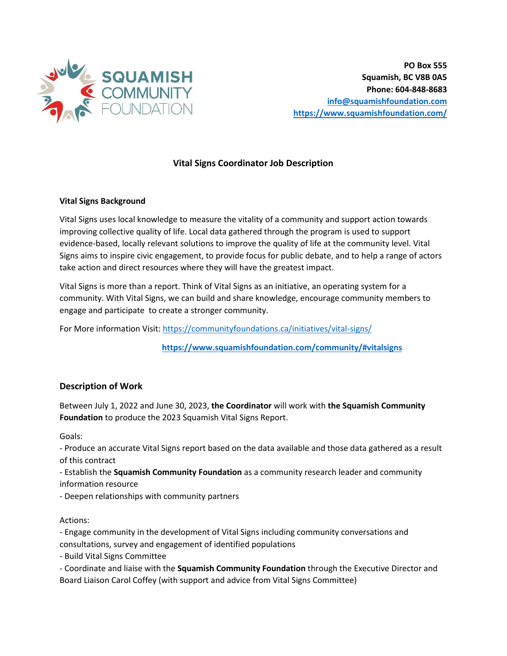

## **Vital Signs Coordinator Job Description**

## **Vital Signs Background**

Vital Signs uses local knowledge to measure the vitality of a community and support action towards improving collective quality of life. Local data gathered through the program is used to support evidence-based, locally relevant solutions to improve the quality of life at the community level. Vital Signs aims to inspire civic engagement, to provide focus for public debate, and to help a range of actors take action and direct resources where they will have the greatest impact.

Vital Signs is more than a report. Think of Vital Signs as an initiative, an operating system for a community. With Vital Signs, we can build and share knowledge, encourage community members to engage and participate to create a stronger community.

For More information Visit: https://communityfoundations.ca/initiatives/vital-signs/

 **https://www.squamishfoundation.com/community/#vitalsigns**

## **Description of Work**

Between July 1, 2022 and June 30, 2023, **the Coordinator** will work with **the Squamish Community Foundation** to produce the 2023 Squamish Vital Signs Report.

Goals:

- Produce an accurate Vital Signs report based on the data available and those data gathered as a result of this contract

- Establish the **Squamish Community Foundation** as a community research leader and community information resource

- Deepen relationships with community partners

Actions:

- Engage community in the development of Vital Signs including community conversations and consultations, survey and engagement of identified populations

- Build Vital Signs Committee

- Coordinate and liaise with the **Squamish Community Foundation** through the Executive Director and Board Liaison Carol Coffey (with support and advice from Vital Signs Committee)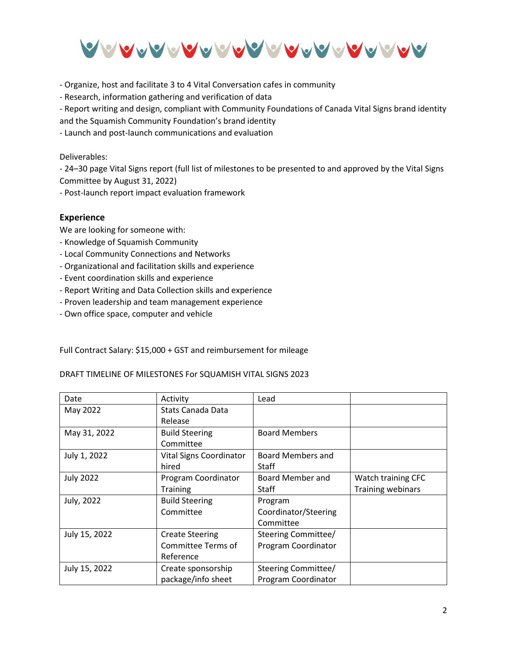

- Organize, host and facilitate 3 to 4 Vital Conversation cafes in community

- Research, information gathering and verification of data

- Report writing and design, compliant with Community Foundations of Canada Vital Signs brand identity

and the Squamish Community Foundation's brand identity

- Launch and post-launch communications and evaluation

Deliverables:

- 24–30 page Vital Signs report (full list of milestones to be presented to and approved by the Vital Signs Committee by August 31, 2022)

- Post-launch report impact evaluation framework

## **Experience**

We are looking for someone with:

- Knowledge of Squamish Community
- Local Community Connections and Networks
- Organizational and facilitation skills and experience
- Event coordination skills and experience
- Report Writing and Data Collection skills and experience
- Proven leadership and team management experience
- Own office space, computer and vehicle

Full Contract Salary: \$15,000 + GST and reimbursement for mileage

DRAFT TIMELINE OF MILESTONES For SQUAMISH VITAL SIGNS 2023

| Date             | Activity                | Lead                     |                          |
|------------------|-------------------------|--------------------------|--------------------------|
| May 2022         | Stats Canada Data       |                          |                          |
|                  | Release                 |                          |                          |
| May 31, 2022     | <b>Build Steering</b>   | <b>Board Members</b>     |                          |
|                  | Committee               |                          |                          |
| July 1, 2022     | Vital Signs Coordinator | <b>Board Members and</b> |                          |
|                  | hired                   | Staff                    |                          |
| <b>July 2022</b> | Program Coordinator     | Board Member and         | Watch training CFC       |
|                  | <b>Training</b>         | Staff                    | <b>Training webinars</b> |
| July, 2022       | <b>Build Steering</b>   | Program                  |                          |
|                  | Committee               | Coordinator/Steering     |                          |
|                  |                         | Committee                |                          |
| July 15, 2022    | <b>Create Steering</b>  | Steering Committee/      |                          |
|                  | Committee Terms of      | Program Coordinator      |                          |
|                  | Reference               |                          |                          |
| July 15, 2022    | Create sponsorship      | Steering Committee/      |                          |
|                  | package/info sheet      | Program Coordinator      |                          |